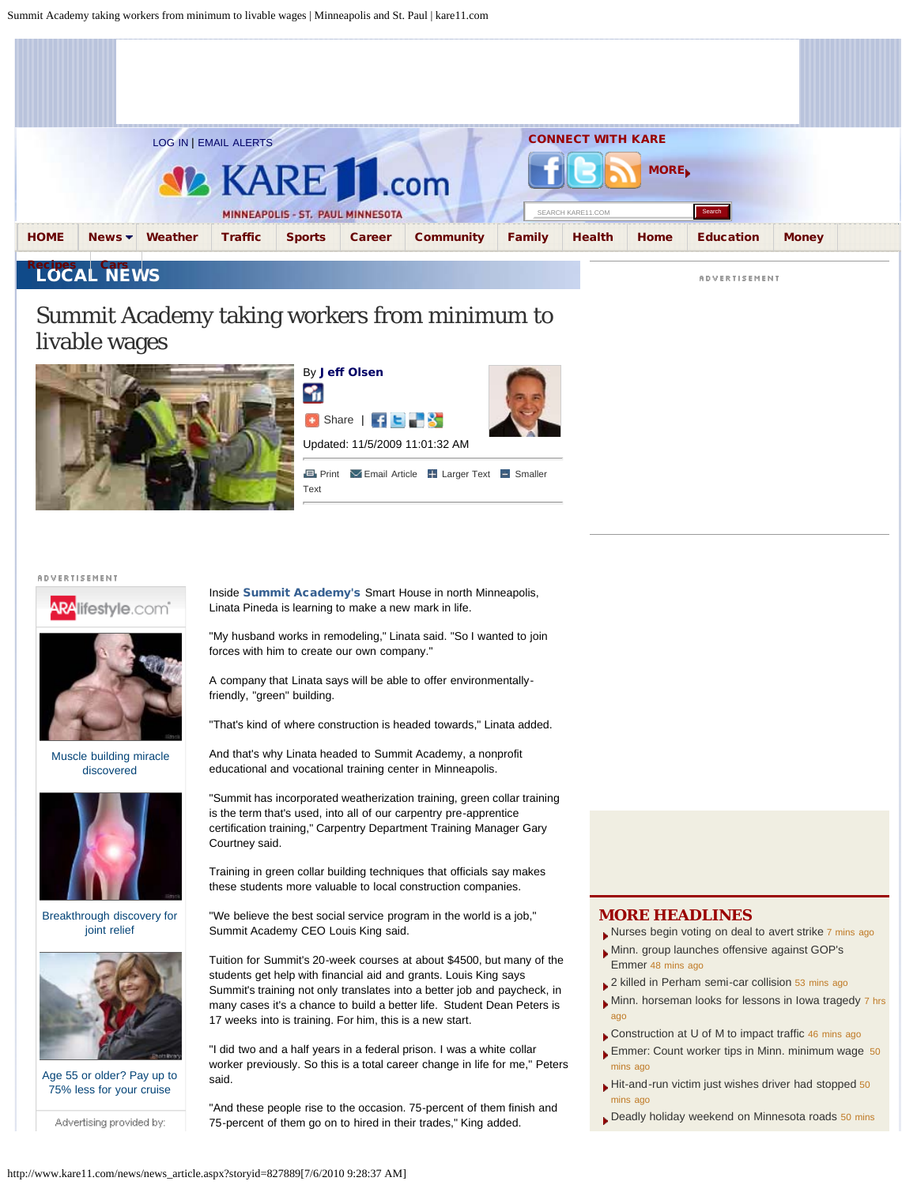<span id="page-0-0"></span>

# Summit Academy taking workers from minimum to livable wages







**E** [Print](#page-0-0) **Exercise B** [Larger Text](javascript:article_IncreaseFontsize();) **E** [Smaller](javascript:article_DecreaseFontsize();) [Text](javascript:article_DecreaseFontsize();)

#### **ADVERTISEMENT**



[Muscle building miracle](http://www.aralifestyle.com/article.aspx?UserFeedGuid=71f68bb7-ae5a-421a-9954-77d98c089fc4&ArticleId=2277&ComboId=10887&title=Muscle-building-miracle-discovered&origin=222836-APP10) [discovered](http://www.aralifestyle.com/article.aspx?UserFeedGuid=71f68bb7-ae5a-421a-9954-77d98c089fc4&ArticleId=2277&ComboId=10887&title=Muscle-building-miracle-discovered&origin=222836-APP10)



[Breakthrough discovery for](http://www.aralifestyle.com/article.aspx?UserFeedGuid=71f68bb7-ae5a-421a-9954-77d98c089fc4&ArticleId=2453&ComboId=10970&title=Breakthrough-discovery-for-joint-relief&origin=222836-APP10) [joint relief](http://www.aralifestyle.com/article.aspx?UserFeedGuid=71f68bb7-ae5a-421a-9954-77d98c089fc4&ArticleId=2453&ComboId=10970&title=Breakthrough-discovery-for-joint-relief&origin=222836-APP10)



[Age 55 or older? Pay up to](http://www.aralifestyle.com/article.aspx?UserFeedGuid=71f68bb7-ae5a-421a-9954-77d98c089fc4&ArticleId=2434&ComboId=7463&title=Age-55-or-older-Pay-up-to-75-less-for-your-cruis&origin=222836-APP10) [75% less for your cruise](http://www.aralifestyle.com/article.aspx?UserFeedGuid=71f68bb7-ae5a-421a-9954-77d98c089fc4&ArticleId=2434&ComboId=7463&title=Age-55-or-older-Pay-up-to-75-less-for-your-cruis&origin=222836-APP10)

Advertising provided by:

Inside [Summit Academy's](http://www.saoic.org/Home.html) Smart House in north Minneapolis, Linata Pineda is learning to make a new mark in life.

"My husband works in remodeling," Linata said. "So I wanted to join forces with him to create our own company."

A company that Linata says will be able to offer environmentallyfriendly, "green" building.

"That's kind of where construction is headed towards," Linata added.

And that's why Linata headed to Summit Academy, a nonprofit educational and vocational training center in Minneapolis.

"Summit has incorporated weatherization training, green collar training is the term that's used, into all of our carpentry pre-apprentice certification training," Carpentry Department Training Manager Gary Courtney said.

Training in green collar building techniques that officials say makes these students more valuable to local construction companies.

"We believe the best social service program in the world is a job," Summit Academy CEO Louis King said.

Tuition for Summit's 20-week courses at about \$4500, but many of the students get help with financial aid and grants. Louis King says Summit's training not only translates into a better job and paycheck, in many cases it's a chance to build a better life. Student Dean Peters is 17 weeks into is training. For him, this is a new start.

"I did two and a half years in a federal prison. I was a white collar worker previously. So this is a total career change in life for me," Peters said.

"And these people rise to the occasion. 75-percent of them finish and 75-percent of them go on to hired in their trades," King added.

#### **MORE HEADLINES**

- [Nurses begin voting on deal to avert strike](http://www.kare11.com/news/news_article.aspx?storyid=856732&catid=391) 7 mins ago
- [Minn. group launches offensive against GOP's](http://www.kare11.com/news/news_article.aspx?storyid=856734&catid=391) [Emmer](http://www.kare11.com/news/news_article.aspx?storyid=856734&catid=391) 48 mins ago
- [2 killed in Perham semi-car collision](http://www.kare11.com/news/news_article.aspx?storyid=856733&catid=391) 53 mins ago
- [Minn. horseman looks for lessons in Iowa tragedy](http://www.kare11.com/news/news_article.aspx?storyid=856688&catid=391) 7 hrs ago
- [Construction at U of M to impact traffic](http://www.kare11.com/news/news_article.aspx?storyid=856670&catid=14) 46 mins ago
- **[Emmer: Count worker tips in Minn. minimum wage](http://www.kare11.com/news/news_article.aspx?storyid=856682&catid=14) 50** mins ago
- [Hit-and-run victim just wishes driver had stopped](http://www.kare11.com/news/news_article.aspx?storyid=856660&catid=14) 50 mins ago
- [Deadly holiday weekend on Minnesota roads](http://www.kare11.com/news/news_article.aspx?storyid=856672&catid=14) 50 mins